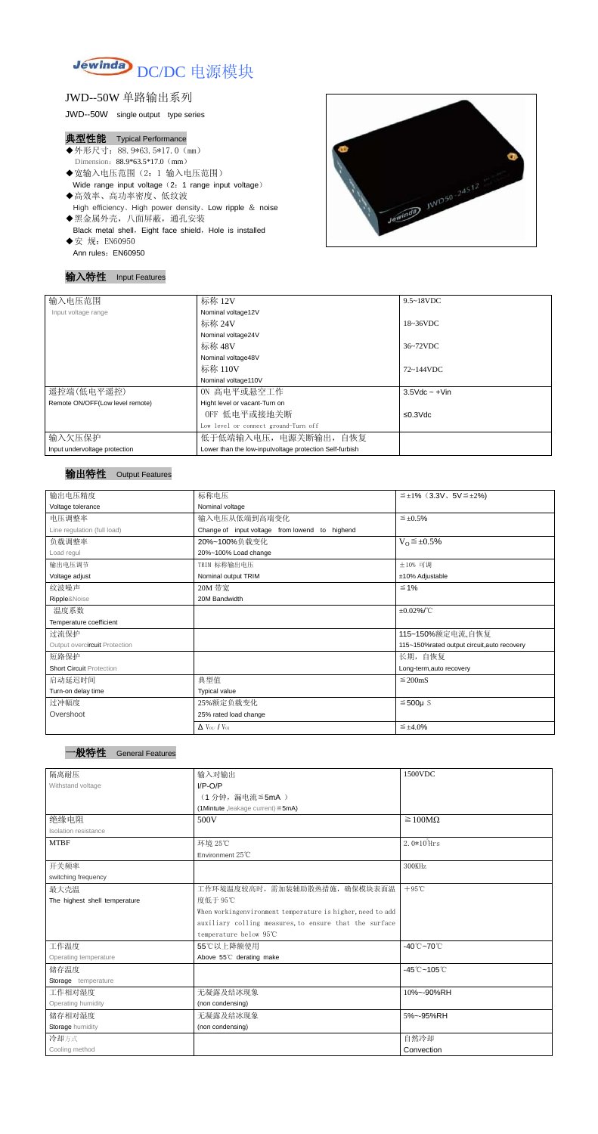

JWD--50W 单路输出系列

JWD--50W single output type series

## 典型性能 Typical Performance

- ◆外形尺寸: 88.9\*63.5\*17.0 (mm) Dimension: 88.9\*63.5\*17.0 (mm)
- ◆宽输入电压范围(2:1 输入电压范围) Wide range input voltage (2: 1 range input voltage)
- ◆高效率、高功率密度、低纹波 High efficiency、High power density、Low ripple & noise ◆黑金属外壳,八面屏蔽,通孔安装
- Black metal shell, Eight face shield, Hole is installed ◆安 规: EN60950

Ann rules: EN60950





| 输入电压范围                          | 标称 12V                                                  | $9.5 - 18$ VDC    |
|---------------------------------|---------------------------------------------------------|-------------------|
| Input voltage range             | Nominal voltage12V                                      |                   |
|                                 | 标称 24V                                                  | $18\sim36$ VDC    |
|                                 | Nominal voltage24V                                      |                   |
|                                 | 标称 48V                                                  | 36~72VDC          |
|                                 | Nominal voltage48V                                      |                   |
|                                 | 标称 110V                                                 | $72 \sim 144$ VDC |
|                                 | Nominal voltage110V                                     |                   |
| 遥控端(低电平遥控)                      | ON 高电平或悬空工作                                             | $3.5$ Vdc ~ +Vin  |
| Remote ON/OFF(Low level remote) | Hight level or vacant-Turn on                           |                   |
|                                 | OFF 低电平或接地关断                                            | ≤0.3 $Vdc$        |
|                                 | Low level or connect ground-Turn off                    |                   |
| 输入欠压保护                          | 低于低端输入电压, 电源关断输出, 自恢复                                   |                   |
| Input undervoltage protection   | Lower than the low-inputvoltage protection Self-furbish |                   |

### 输出特性 Output Features

#### 一般特性 General Features

| 输出电压精度                          | 标称电压                                           | $\leq \pm 1\%$ (3.3V, 5V $\leq \pm 2\%$ ) |  |  |
|---------------------------------|------------------------------------------------|-------------------------------------------|--|--|
| Voltage tolerance               | Nominal voltage                                |                                           |  |  |
| 电压调整率                           | 输入电压从低端到高端变化                                   | $\leq \pm 0.5\%$                          |  |  |
| Line regulation (full load)     | Change of input voltage from lowend to highend |                                           |  |  |
| 负载调整率                           | 20%~100%负载变化                                   | $V_0 \leq \pm 0.5\%$                      |  |  |
| Load regul                      | 20%~100% Load change                           |                                           |  |  |
| 输出电压调节                          | TRIM 标称输出电压                                    | 土10% 可调                                   |  |  |
| Voltage adjust                  | Nominal output TRIM                            | ±10% Adjustable                           |  |  |
| 纹波噪声                            | 20M 带宽                                         | $\leq 1\%$                                |  |  |
| Ripple&Noise                    | 20M Bandwidth                                  |                                           |  |  |
| 温度系数                            |                                                | $\pm 0.02\%$ /°C                          |  |  |
| Temperature coefficient         |                                                |                                           |  |  |
| 过流保护                            |                                                | 115~150%额定电流,自恢复                          |  |  |
| Output overcircuit Protection   | 115~150%rated output circuit, auto recovery    |                                           |  |  |
| 短路保护                            | 长期, 自恢复                                        |                                           |  |  |
| <b>Short Circuit Protection</b> |                                                | Long-term, auto recovery                  |  |  |
| 启动延迟时间                          | 典型值                                            | $\leq$ 200mS                              |  |  |
| Turn-on delay time              | <b>Typical value</b>                           |                                           |  |  |
| 过冲幅度                            | 25%额定负载变化                                      | $≤500µ$ S                                 |  |  |
| Overshoot                       | 25% rated load change                          |                                           |  |  |
|                                 | $\Delta$ V <sub>01</sub> /V <sub>01</sub>      | $\leq \pm 4.0\%$                          |  |  |

| 隔离耐压                          | 输入对输出                                                      | 1500VDC                                     |  |
|-------------------------------|------------------------------------------------------------|---------------------------------------------|--|
| Withstand voltage             | $I/P$ -O/P                                                 |                                             |  |
|                               | (1分钟,漏电流≦5mA)                                              |                                             |  |
|                               | (1Mintute, leakage current) $\leq$ 5mA)                    |                                             |  |
| 绝缘电阻                          | 500V                                                       | $\geq 100M\Omega$                           |  |
| <b>Isolation resistance</b>   |                                                            |                                             |  |
| <b>MTBF</b>                   | 环境 25℃                                                     | 2. $0*10^5$ Hrs                             |  |
|                               | Environment 25°C                                           |                                             |  |
| 开关频率                          |                                                            | 300KHz                                      |  |
| switching frequency           |                                                            |                                             |  |
| 最大壳温                          | 工作环境温度较高时, 需加装辅助散热措施, 确保模块表面温                              | $+95^{\circ}$ C                             |  |
| The highest shell temperature | 度低于 95℃                                                    |                                             |  |
|                               | When workingenvironment temperature is higher, need to add |                                             |  |
|                               | auxiliary colling measures, to ensure that the surface     |                                             |  |
|                               | temperature below 95℃                                      |                                             |  |
| 工作温度                          | 55℃以上降额使用                                                  | $-40^{\circ}$ C $-70^{\circ}$ C             |  |
| Operating temperature         | Above 55°C derating make                                   |                                             |  |
| 储存温度                          |                                                            | $-45^{\circ}\text{C} - 105^{\circ}\text{C}$ |  |
| Storage temperature           |                                                            |                                             |  |
| 工作相对湿度                        | 无凝露及结冰现象                                                   | 10%~-90%RH                                  |  |
| Operating humidity            | (non condensing)                                           |                                             |  |
| 储存相对湿度                        | 无凝露及结冰现象                                                   | 5%~-95%RH                                   |  |
| Storage humidity              | (non condensing)                                           |                                             |  |
| 冷却方式                          |                                                            | 自然冷却                                        |  |
| Cooling method                |                                                            | Convection                                  |  |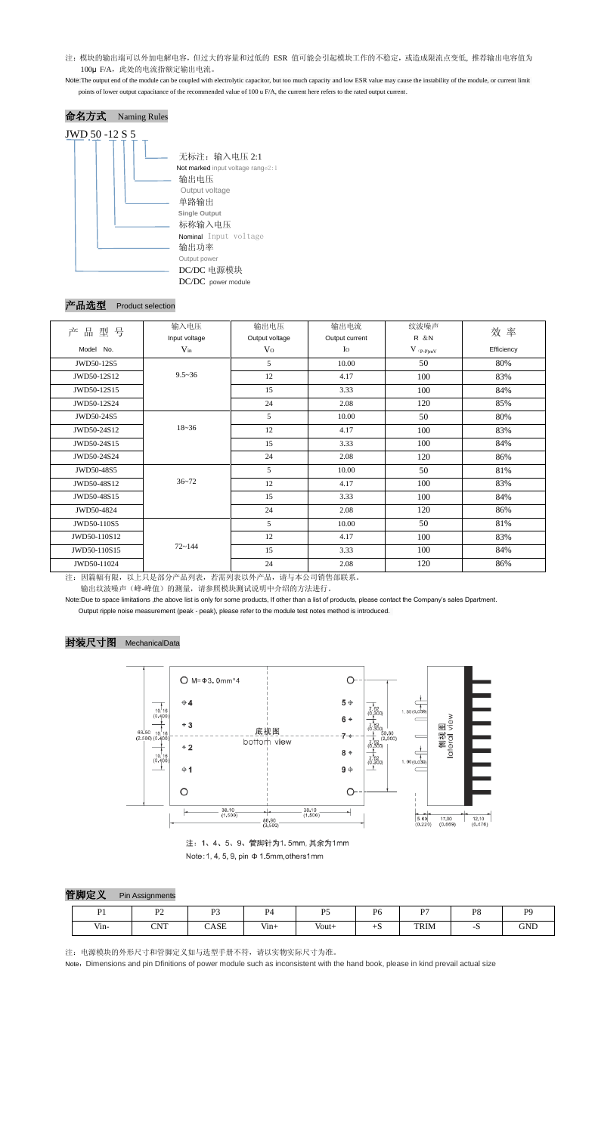注: 模块的输出端可以外加电解电容,但过大的容量和过低的 ESR 值可能会引起模块工作的不稳定, 或造成限流点变低, 推荐输出电容值为 100μ F/A, 此处的电流指额定输出电流。

Note:The output end of the module can be coupled with electrolytic capacitor, but too much capacity and low ESR value may cause the instability of the module, or current limit points of lower output capacitance of the recommended value of 100 u F/A, the current here refers to the rated output current.

# 命名方式 Naming Rules



#### 产品选型 Product selection

| 品<br>型号<br>产 | 输入电压<br>Input voltage | 输出电压<br>Output voltage | 输出电流<br>Output current | 纹波噪声<br><b>R</b> & N | 效率         |
|--------------|-----------------------|------------------------|------------------------|----------------------|------------|
| Model No.    | $V_{in}$              | V <sub>O</sub>         | $I_{\rm O}$            | $V$ (p-p)mV          | Efficiency |
| JWD50-12S5   |                       | $5\overline{)}$        | 10.00                  | 50                   | 80%        |
| JWD50-12S12  | $9.5 - 36$            | 12                     | 4.17                   | 100                  | 83%        |
| JWD50-12S15  |                       | 15                     | 3.33                   | 100                  | 84%        |
| JWD50-12S24  |                       | 24                     | 2.08                   | 120                  | 85%        |
| JWD50-24S5   |                       | 5                      | 10.00                  | 50                   | 80%        |
| JWD50-24S12  | $18 - 36$             | 12                     | 4.17                   | 100                  | 83%        |
| JWD50-24S15  |                       | 15                     | 3.33                   | 100                  | 84%        |
| JWD50-24S24  |                       | 24                     | 2.08                   | 120                  | 86%        |
| JWD50-48S5   |                       | 5                      | 10.00                  | 50                   | 81%        |
| JWD50-48S12  | $36 - 72$             | 12                     | 4.17                   | 100                  | 83%        |
| JWD50-48S15  |                       | 15                     | 3.33                   | 100                  | 84%        |
| JWD50-4824   |                       | 24                     | 2.08                   | 120                  | 86%        |
| JWD50-110S5  |                       | 5 <sup>5</sup>         | 10.00                  | 50                   | 81%        |
| JWD50-110S12 |                       | 12                     | 4.17                   | 100                  | 83%        |
| JWD50-110S15 | $72 - 144$            | 15                     | 3.33                   | 100                  | 84%        |
| JWD50-11024  |                       | 24                     | 2.08                   | 120                  | 86%        |

注:因篇幅有限,以上只是部分产品列表,若需列表以外产品,请与本公司销售部联系。

输出纹波噪声(峰-峰值)的测量,请参照模块测试说明中介绍的方法进行。

Note:Due to space limitations ,the above list is only for some products, If other than a list of products, please contact the Company's sales Dpartment. Output ripple noise measurement (peak - peak), please refer to the module test notes method is introduced.



注: 1、4、5、9、管脚针为1.5mm, 其余为1mm

Note: 1, 4, 5, 9, pin  $\Phi$  1.5mm, others1mm

| 管脚定义 | <b>Pin Assignments</b> |
|------|------------------------|
|------|------------------------|

注:电源模块的外形尺寸和管脚定义如与选型手册不符,请以实物实际尺寸为准。

Note: Dimensions and pin Dfinitions of power module such as inconsistent with the hand book, please in kind prevail actual size

| $\mathbf{D}$ | $\mathbf{D}$<br>$\sim$ $\sim$ | D <sub>2</sub><br>$\overline{\phantom{a}}$ | $\mathbf{D}$<br>◡ | $\mathbf{D} \mathbf{F}$<br>$\overline{1}$ | D6<br>. . | D7<br><u>—</u> | DO<br>$\sim$ $\sim$ | <b>DC</b><br>д, |
|--------------|-------------------------------|--------------------------------------------|-------------------|-------------------------------------------|-----------|----------------|---------------------|-----------------|
| Vin-         | CNT<br>ᇅᅜ                     | <b>CASE</b>                                | T T<br>∨ın⊣       | Vout+                                     | ى .       | TRIM           | ∼                   | GND             |